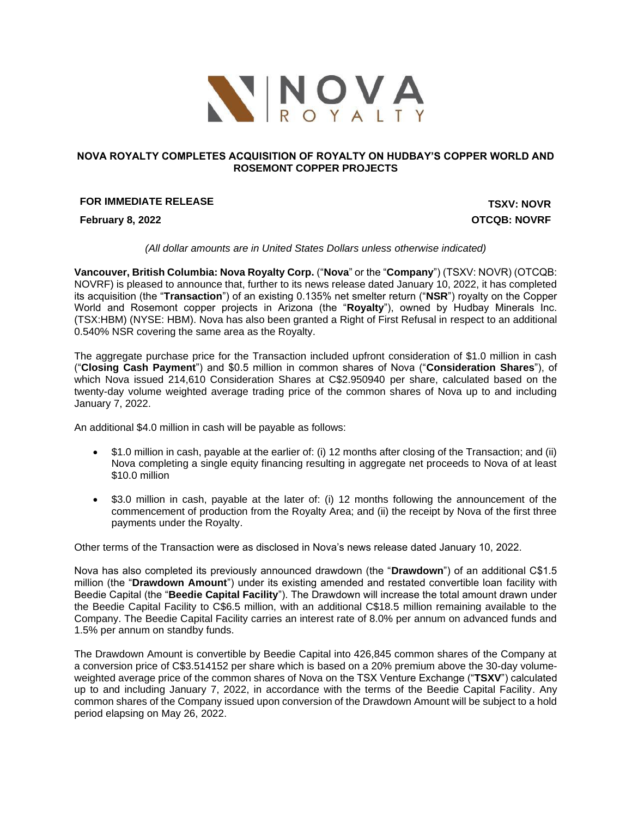

## **NOVA ROYALTY COMPLETES ACQUISITION OF ROYALTY ON HUDBAY'S COPPER WORLD AND ROSEMONT COPPER PROJECTS**

# **FOR IMMEDIATE RELEASE TO A 2003 TO A 2004 TO A 2004 TO A 2004 TO A 2004 TO A 2004 TO A 2004 TO A 2004 TO A 2004 TO A 2004 TO A 2004 TO A 2004 TO A 2004 TO A 2004 TO A 2004 TO A 2004 TO A 2004 TO A 2004 TO A 2004 TO A 20**

**February 8, 2022 OTCQB: NOVRF**

*(All dollar amounts are in United States Dollars unless otherwise indicated)*

**Vancouver, British Columbia: Nova Royalty Corp.** ("**Nova**" or the "**Company**") (TSXV: NOVR) (OTCQB: NOVRF) is pleased to announce that, further to its news release dated January 10, 2022, it has completed its acquisition (the "**Transaction**") of an existing 0.135% net smelter return ("**NSR**") royalty on the Copper World and Rosemont copper projects in Arizona (the "**Royalty**"), owned by Hudbay Minerals Inc. (TSX:HBM) (NYSE: HBM). Nova has also been granted a Right of First Refusal in respect to an additional 0.540% NSR covering the same area as the Royalty.

The aggregate purchase price for the Transaction included upfront consideration of \$1.0 million in cash ("**Closing Cash Payment**") and \$0.5 million in common shares of Nova ("**Consideration Shares**"), of which Nova issued 214,610 Consideration Shares at C\$2.950940 per share, calculated based on the twenty-day volume weighted average trading price of the common shares of Nova up to and including January 7, 2022.

An additional \$4.0 million in cash will be payable as follows:

- \$1.0 million in cash, payable at the earlier of: (i) 12 months after closing of the Transaction; and (ii) Nova completing a single equity financing resulting in aggregate net proceeds to Nova of at least \$10.0 million
- \$3.0 million in cash, payable at the later of: (i) 12 months following the announcement of the commencement of production from the Royalty Area; and (ii) the receipt by Nova of the first three payments under the Royalty.

Other terms of the Transaction were as disclosed in Nova's news release dated January 10, 2022.

Nova has also completed its previously announced drawdown (the "**Drawdown**") of an additional C\$1.5 million (the "**Drawdown Amount**") under its existing amended and restated convertible loan facility with Beedie Capital (the "**Beedie Capital Facility**"). The Drawdown will increase the total amount drawn under the Beedie Capital Facility to C\$6.5 million, with an additional C\$18.5 million remaining available to the Company. The Beedie Capital Facility carries an interest rate of 8.0% per annum on advanced funds and 1.5% per annum on standby funds.

The Drawdown Amount is convertible by Beedie Capital into 426,845 common shares of the Company at a conversion price of C\$3.514152 per share which is based on a 20% premium above the 30-day volumeweighted average price of the common shares of Nova on the TSX Venture Exchange ("**TSXV**") calculated up to and including January 7, 2022, in accordance with the terms of the Beedie Capital Facility. Any common shares of the Company issued upon conversion of the Drawdown Amount will be subject to a hold period elapsing on May 26, 2022.